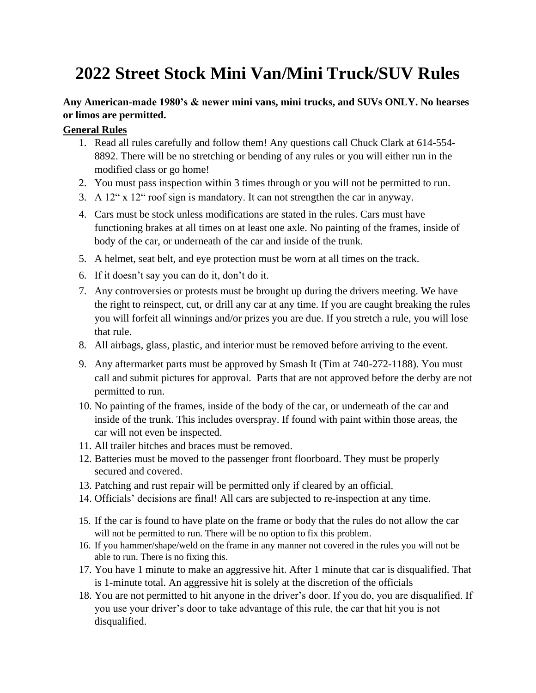## **2022 Street Stock Mini Van/Mini Truck/SUV Rules**

## **Any American-made 1980's & newer mini vans, mini trucks, and SUVs ONLY. No hearses or limos are permitted.**

## **General Rules**

- 1. Read all rules carefully and follow them! Any questions call Chuck Clark at 614-554- 8892. There will be no stretching or bending of any rules or you will either run in the modified class or go home!
- 2. You must pass inspection within 3 times through or you will not be permitted to run.
- 3. A 12" x 12" roof sign is mandatory. It can not strengthen the car in anyway.
- 4. Cars must be stock unless modifications are stated in the rules. Cars must have functioning brakes at all times on at least one axle. No painting of the frames, inside of body of the car, or underneath of the car and inside of the trunk.
- 5. A helmet, seat belt, and eye protection must be worn at all times on the track.
- 6. If it doesn't say you can do it, don't do it.
- 7. Any controversies or protests must be brought up during the drivers meeting. We have the right to reinspect, cut, or drill any car at any time. If you are caught breaking the rules you will forfeit all winnings and/or prizes you are due. If you stretch a rule, you will lose that rule.
- 8. All airbags, glass, plastic, and interior must be removed before arriving to the event.
- 9. Any aftermarket parts must be approved by Smash It (Tim at 740-272-1188). You must call and submit pictures for approval. Parts that are not approved before the derby are not permitted to run.
- 10. No painting of the frames, inside of the body of the car, or underneath of the car and inside of the trunk. This includes overspray. If found with paint within those areas, the car will not even be inspected.
- 11. All trailer hitches and braces must be removed.
- 12. Batteries must be moved to the passenger front floorboard. They must be properly secured and covered.
- 13. Patching and rust repair will be permitted only if cleared by an official.
- 14. Officials' decisions are final! All cars are subjected to re-inspection at any time.
- 15. If the car is found to have plate on the frame or body that the rules do not allow the car will not be permitted to run. There will be no option to fix this problem.
- 16. If you hammer/shape/weld on the frame in any manner not covered in the rules you will not be able to run. There is no fixing this.
- 17. You have 1 minute to make an aggressive hit. After 1 minute that car is disqualified. That is 1-minute total. An aggressive hit is solely at the discretion of the officials
- 18. You are not permitted to hit anyone in the driver's door. If you do, you are disqualified. If you use your driver's door to take advantage of this rule, the car that hit you is not disqualified.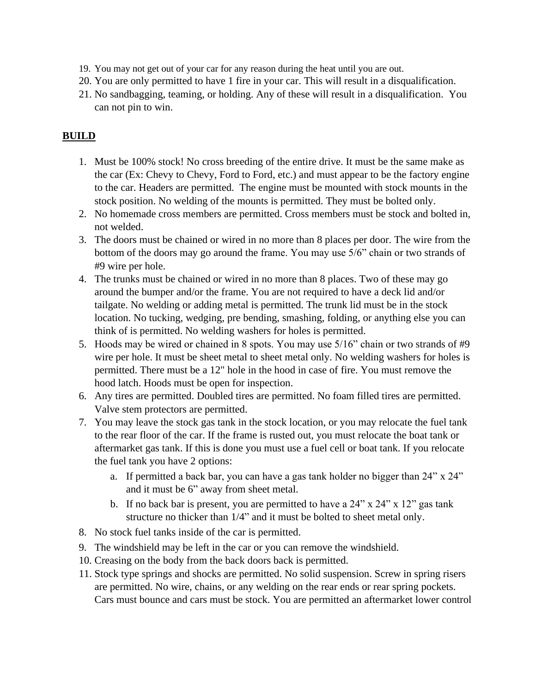- 19. You may not get out of your car for any reason during the heat until you are out.
- 20. You are only permitted to have 1 fire in your car. This will result in a disqualification.
- 21. No sandbagging, teaming, or holding. Any of these will result in a disqualification. You can not pin to win.

## **BUILD**

- 1. Must be 100% stock! No cross breeding of the entire drive. It must be the same make as the car (Ex: Chevy to Chevy, Ford to Ford, etc.) and must appear to be the factory engine to the car. Headers are permitted. The engine must be mounted with stock mounts in the stock position. No welding of the mounts is permitted. They must be bolted only.
- 2. No homemade cross members are permitted. Cross members must be stock and bolted in, not welded.
- 3. The doors must be chained or wired in no more than 8 places per door. The wire from the bottom of the doors may go around the frame. You may use 5/6" chain or two strands of #9 wire per hole.
- 4. The trunks must be chained or wired in no more than 8 places. Two of these may go around the bumper and/or the frame. You are not required to have a deck lid and/or tailgate. No welding or adding metal is permitted. The trunk lid must be in the stock location. No tucking, wedging, pre bending, smashing, folding, or anything else you can think of is permitted. No welding washers for holes is permitted.
- 5. Hoods may be wired or chained in 8 spots. You may use 5/16" chain or two strands of #9 wire per hole. It must be sheet metal to sheet metal only. No welding washers for holes is permitted. There must be a 12" hole in the hood in case of fire. You must remove the hood latch. Hoods must be open for inspection.
- 6. Any tires are permitted. Doubled tires are permitted. No foam filled tires are permitted. Valve stem protectors are permitted.
- 7. You may leave the stock gas tank in the stock location, or you may relocate the fuel tank to the rear floor of the car. If the frame is rusted out, you must relocate the boat tank or aftermarket gas tank. If this is done you must use a fuel cell or boat tank. If you relocate the fuel tank you have 2 options:
	- a. If permitted a back bar, you can have a gas tank holder no bigger than 24" x 24" and it must be 6" away from sheet metal.
	- b. If no back bar is present, you are permitted to have a  $24$ " x  $24$ " x  $12$ " gas tank structure no thicker than 1/4" and it must be bolted to sheet metal only.
- 8. No stock fuel tanks inside of the car is permitted.
- 9. The windshield may be left in the car or you can remove the windshield.
- 10. Creasing on the body from the back doors back is permitted.
- 11. Stock type springs and shocks are permitted. No solid suspension. Screw in spring risers are permitted. No wire, chains, or any welding on the rear ends or rear spring pockets. Cars must bounce and cars must be stock. You are permitted an aftermarket lower control